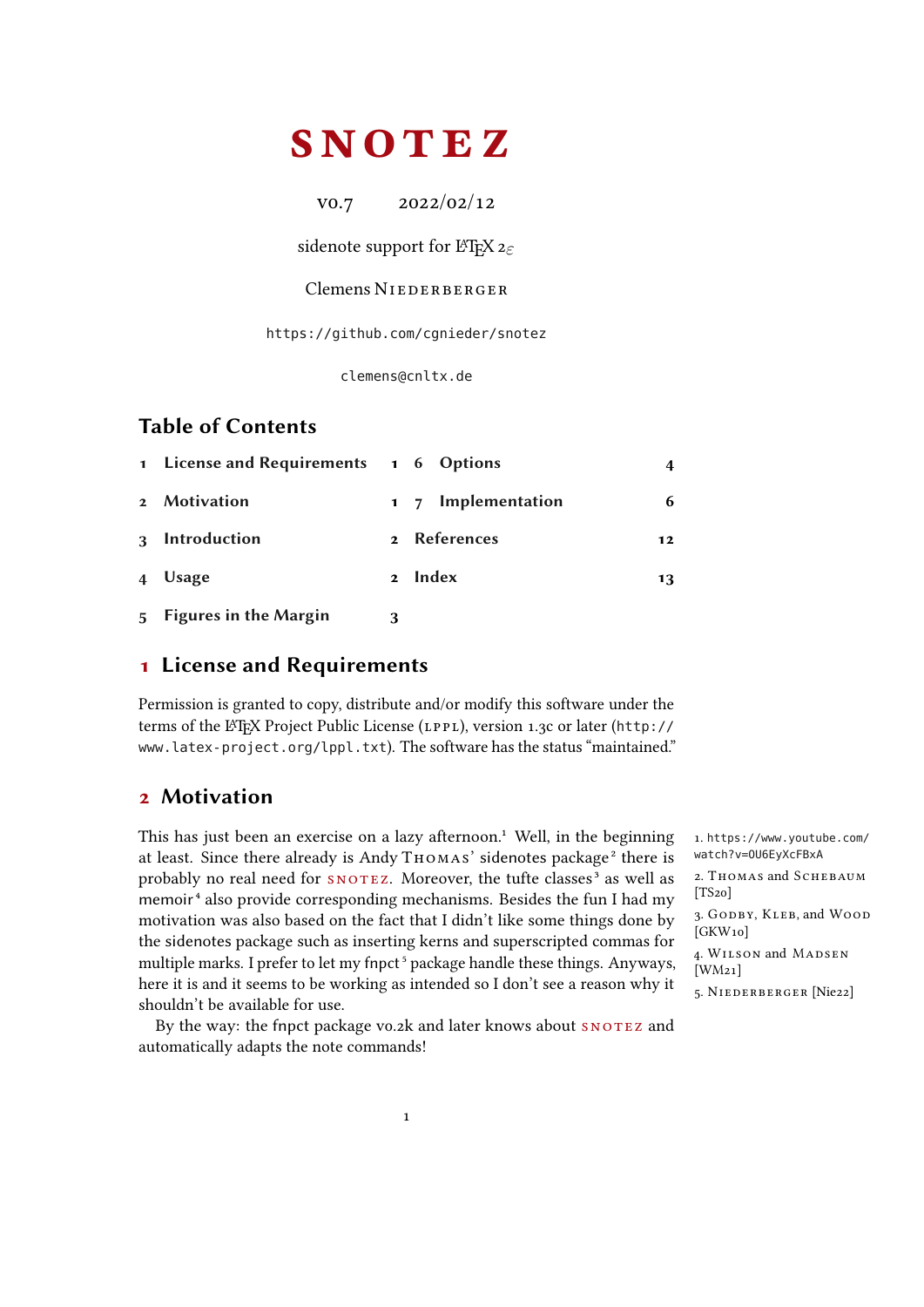# <span id="page-0-2"></span>**SNOTEZ**

v0.7 2022/02/12

sidenote support for LATEX  $2\varepsilon$ 

### Clemens NIEDERBERGER

<https://github.com/cgnieder/snotez>

[clemens@cnltx.de](mailto:clemens@cnltx.de)

## Table of Contents

|                | 1 License and Requirements 1 6 Options |             |                    | 4  |
|----------------|----------------------------------------|-------------|--------------------|----|
|                | 2 Motivation                           |             | 1 7 Implementation | 6  |
|                | 3 Introduction                         | $2^{\circ}$ | <b>References</b>  | 12 |
|                | 4 Usage                                | $2^{\circ}$ | Index              | 13 |
| 5 <sup>5</sup> | <b>Figures in the Margin</b>           |             |                    |    |

### <span id="page-0-0"></span>1 License and Requirements

Permission is granted to copy, distribute and/or modify this software under the terms of the LATEX Project Public License (LPPL), version 1.3c or later ([http://](http://www.latex-project.org/lppl.txt) [www.latex-project.org/lppl.txt](http://www.latex-project.org/lppl.txt)). The software has the status "maintained."

# <span id="page-0-1"></span>2 Motivation

This has just been an exercise on a lazy afternoon.<sup>1</sup> Well, in the beginning 1. [https://www.youtube.com/](https://www.youtube.com/watch?v=OU6EyXcFBxA) at least. Since there already is Andy THOMAS' sidenotes package<sup>2</sup> there is watch?v=0U6EyXcFBxA probably no real need for SNOTEZ. Moreover, the tufte classes<sup>3</sup> as well as memoir<sup>4</sup> also provide corresponding mechanisms. Besides the fun I had my motivation was also based on the fact that I didn't like some things done by the sidenotes package such as inserting kerns and superscripted commas for multiple marks. I prefer to let my fnpct<sup>5</sup> package handle these things. Anyways, here it is and it seems to be working as intended so I don't see a reason why it  $\frac{1}{5}$ . NIEDERBERGER [Nie22] shouldn't be available for use.

By the way: the fnpct package vo.2k and later knows about SNOTEZ and automatically adapts the note commands!

2. Thomas and Schebaum  $[TS<sub>20</sub>]$ 3. GODBY, KLEB, and WOOD [GKW<sub>10</sub>] 4. W ilson and Madsen [WM21]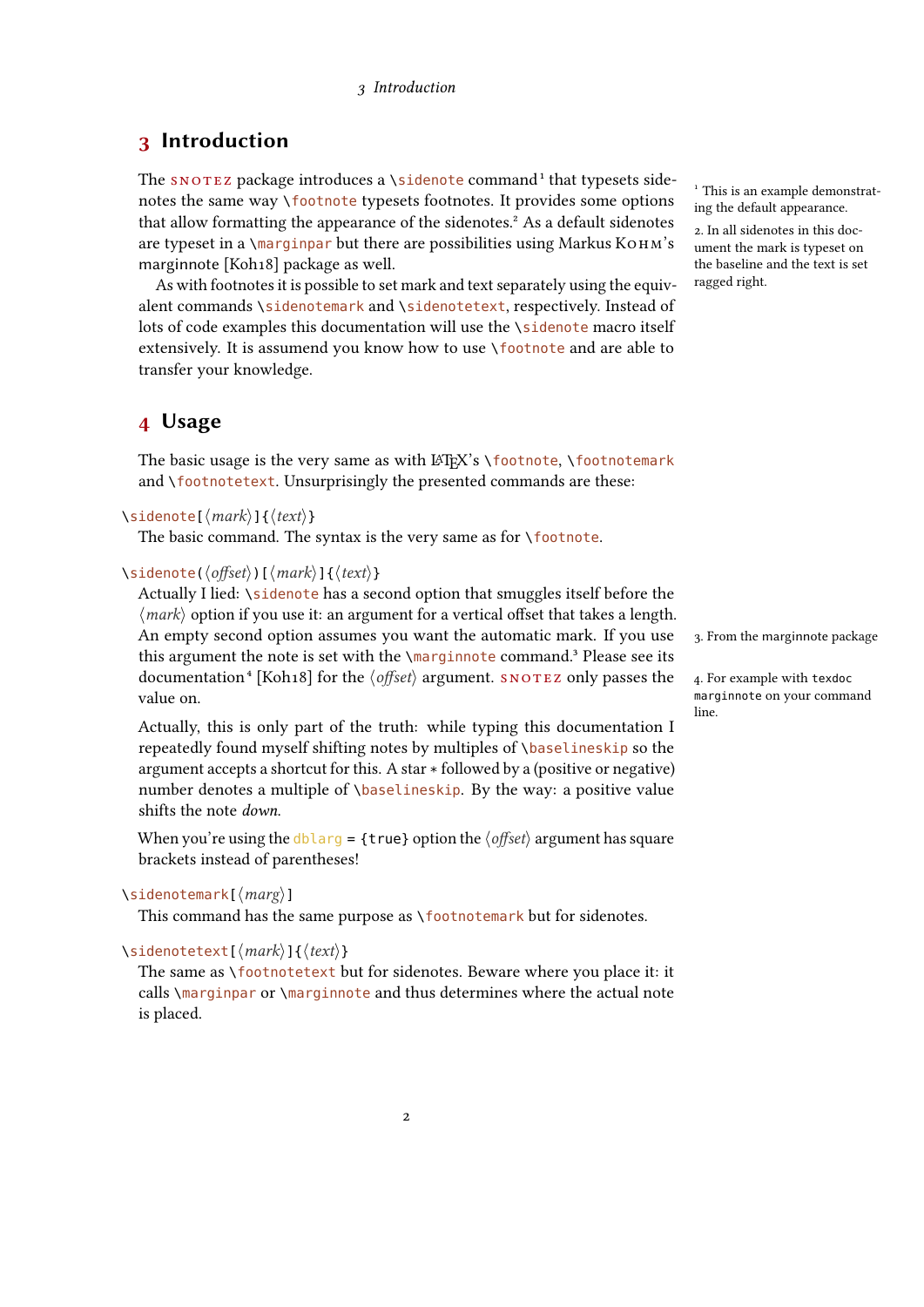# <span id="page-1-2"></span><span id="page-1-0"></span>3 Introduction

The SNOTEZ package introduces a \sidenote command<sup>1</sup> that typesets side-<br><sup>1</sup> This is an example demonstratnotes the same way \footnote typesets footnotes. It provides some options ing the default appearance. that allow formatting the appearance of the sidenotes.<sup>2</sup> As a default sidenotes  $\frac{2}{2}$ . In all sidenotes in this docare typeset in a  $\langle$ marginpar but there are possibilities using Markus  $K$ OHM's marginnote [Koh18] package as well.

As with footnotes it is possible to set mark and text separately using the equivalent commands \sidenotemark and \sidenotetext, respectively. Instead of lots of code examples this documentation will use the \sidenote macro itself extensively. It is assumend you know how to use \footnote and are able to transfer your knowledge.

### <span id="page-1-1"></span>4 Usage

The basic usage is the very same as with  $\langle A \rangle$ 's \footnote, \footnotemark and \footnotetext. Unsurprisingly the presented commands are these:

```
\sidenote[⟨mark⟩]{⟨text⟩}
```
The basic command. The syntax is the very same as for \footnote.

### \sidenote(⟨offset⟩)[⟨mark⟩]{⟨text⟩}

Actually I lied: \sidenote has a second option that smuggles itself before the  $\langle mark \rangle$  option if you use it: an argument for a vertical offset that takes a length. An empty second option assumes you want the automatic mark. If you use this argument the note is set with the \marginnote command.<sup>3</sup> Please see its documentation<sup>4</sup> [Koh18] for the  $\langle$ *offset* $\rangle$  argument. SNOTEZ only passes the 4. For example with texdoc value on.

Actually, this is only part of the truth: while typing this documentation I repeatedly found myself shifting notes by multiples of \baselineskip so the argument accepts a shortcut for this. A star \* followed by a (positive or negative) number denotes a multiple of *\baselineskip*. By the way: a positive value shifts the note down.

When you're using the dblarg = {true} option the  $\langle$  offset} argument has square brackets instead of parentheses!

### \sidenotemark[⟨marg⟩]

This command has the same purpose as \footnotemark but for sidenotes.

### \sidenotetext[⟨mark⟩]{⟨text⟩}

The same as \footnotetext but for sidenotes. Beware where you place it: it calls \marginpar or \marginnote and thus determines where the actual note is placed.

ument the mark is typeset on the baseline and the text is set ragged right.

3. From the marginnote package

marginnote on your command line.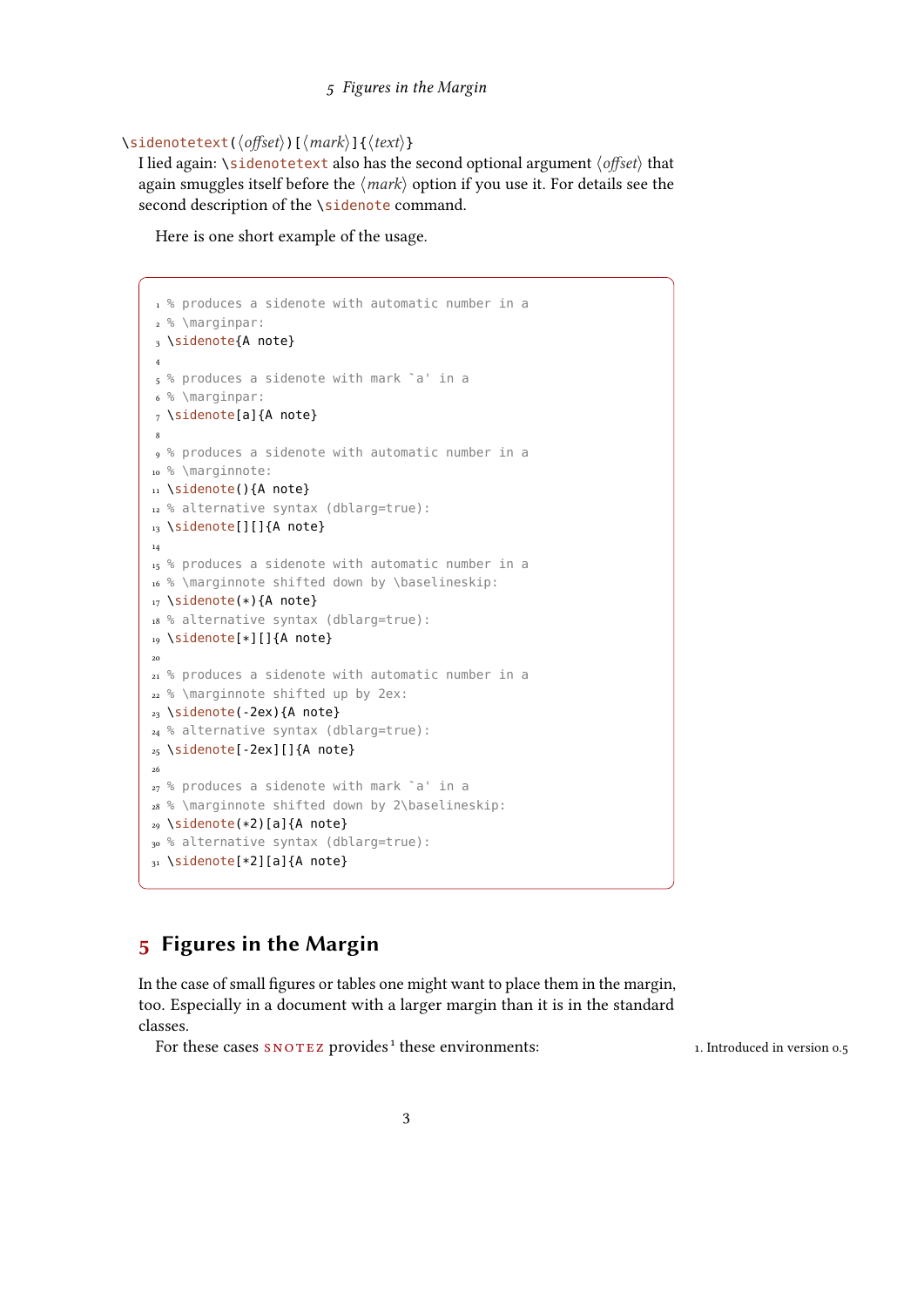#### 5 Figures in the Margin

### \sidenotetext(⟨offset⟩)[⟨mark⟩]{⟨text⟩}

I lied again: \sidenotetext also has the second optional argument ⟨offset⟩ that again smuggles itself before the  $\langle mark \rangle$  option if you use it. For details see the second description of the \sidenote command.

Here is one short example of the usage.

```
1 % produces a sidenote with automatic number in a
2 % \marginpar:
3 \sidenote{A note}
 4
5 % produces a sidenote with mark `a' in a
6 % \marginpar:
7 \sidenote[a]{A note}
 8
9 % produces a sidenote with automatic number in a
10 % \marginnote:
11 \sidenote(){A note}
12 % alternative syntax (dblarg=true):
13 \sidenote[][]{A note}
14
15 % produces a sidenote with automatic number in a
16 % \marginnote shifted down by \baselineskip:
17 \sidenote(*){A note}
18 % alternative syntax (dblarg=true):
19 \sidenote[*][]{A note}
20
21 % produces a sidenote with automatic number in a
22 % \marginnote shifted up by 2ex:
23 \sidenote(-2ex){A note}
24 % alternative syntax (dblarg=true):
25 \sidenote[-2ex][]{A note}
26
27 % produces a sidenote with mark `a' in a
28 % \marginnote shifted down by 2\baselineskip:
29 \sidenote(*2)[a]{A note}
30 % alternative syntax (dblarg=true):
31 \sidenote[*2][a]{A note}
```
# <span id="page-2-0"></span>Figures in the Margin

In the case of small figures or tables one might want to place them in the margin, too. Especially in a document with a larger margin than it is in the standard classes.

For these cases  $SNOTEZ$  provides<sup>1</sup> these environments: 1. Introduced in version 0.5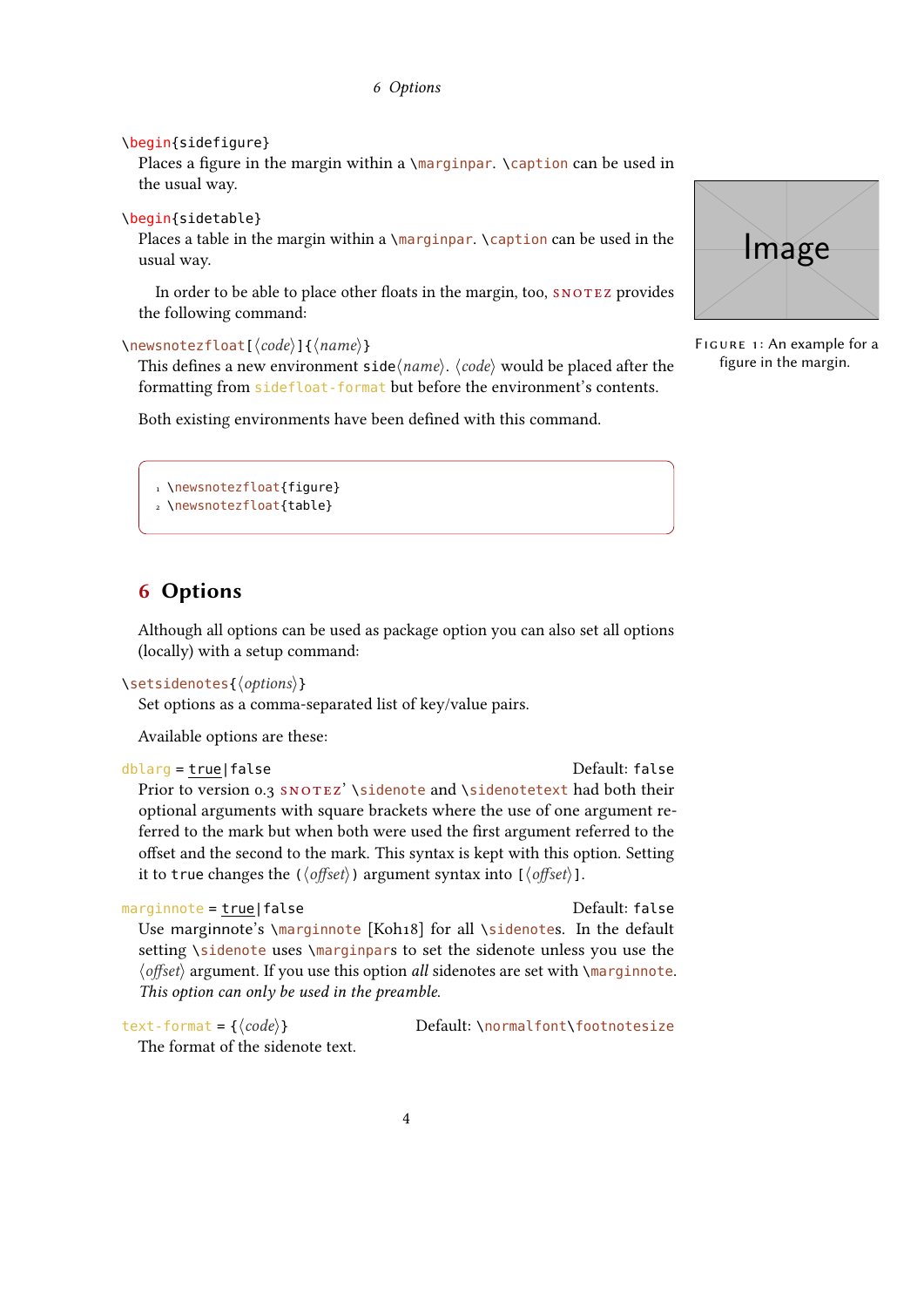```
\begin{sidefigure}
```
Places a figure in the margin within a \marginpar. \caption can be used in the usual way.

```
\begin{sidetable}
```
Places a table in the margin within a \marginpar. \caption can be used in the usual way.

In order to be able to place other floats in the margin, too, SNOTEZ provides the following command:

\newsnotezfloat[⟨code⟩]{⟨name⟩}

This defines a new environment side $\langle name \rangle$ .  $\langle code \rangle$  would be placed after the formatting from sidefloat-format but before the environment's contents.

Both existing environments have been defined with this command.

```
Image
```
FIGURE 1: An example for a figure in the margin.

```
1 \newsnotezfloat{figure}
2 \newsnotezfloat{table}
```
# <span id="page-3-0"></span>6 Options

Although all options can be used as package option you can also set all options (locally) with a setup command:

```
\setsidenotes{⟨options⟩}
```
Set options as a comma-separated list of key/value pairs.

Available options are these:

```
dblarg = true|false Default: false
  Prior to version 0.3 SNOTEZ' \sidenote and \sidenotetext had both their
  optional arguments with square brackets where the use of one argument re-
  ferred to the mark but when both were used the first argument referred to the
  offset and the second to the mark. This syntax is kept with this option. Setting
```
it to true changes the ( $\langle \text{offset} \rangle$ ) argument syntax into [ $\langle \text{offset} \rangle$ ].

```
marginnote = true|false default: false
```
Use marginnote's \marginnote [Koh18] for all \sidenotes. In the default setting \sidenote uses \marginpars to set the sidenote unless you use the ⟨offset⟩ argument. If you use this option all sidenotes are set with \marginnote. This option can only be used in the preamble.

```
The format of the sidenote text.
```
text-format = { $\langle code \rangle$ } Default: \normalfont\footnotesize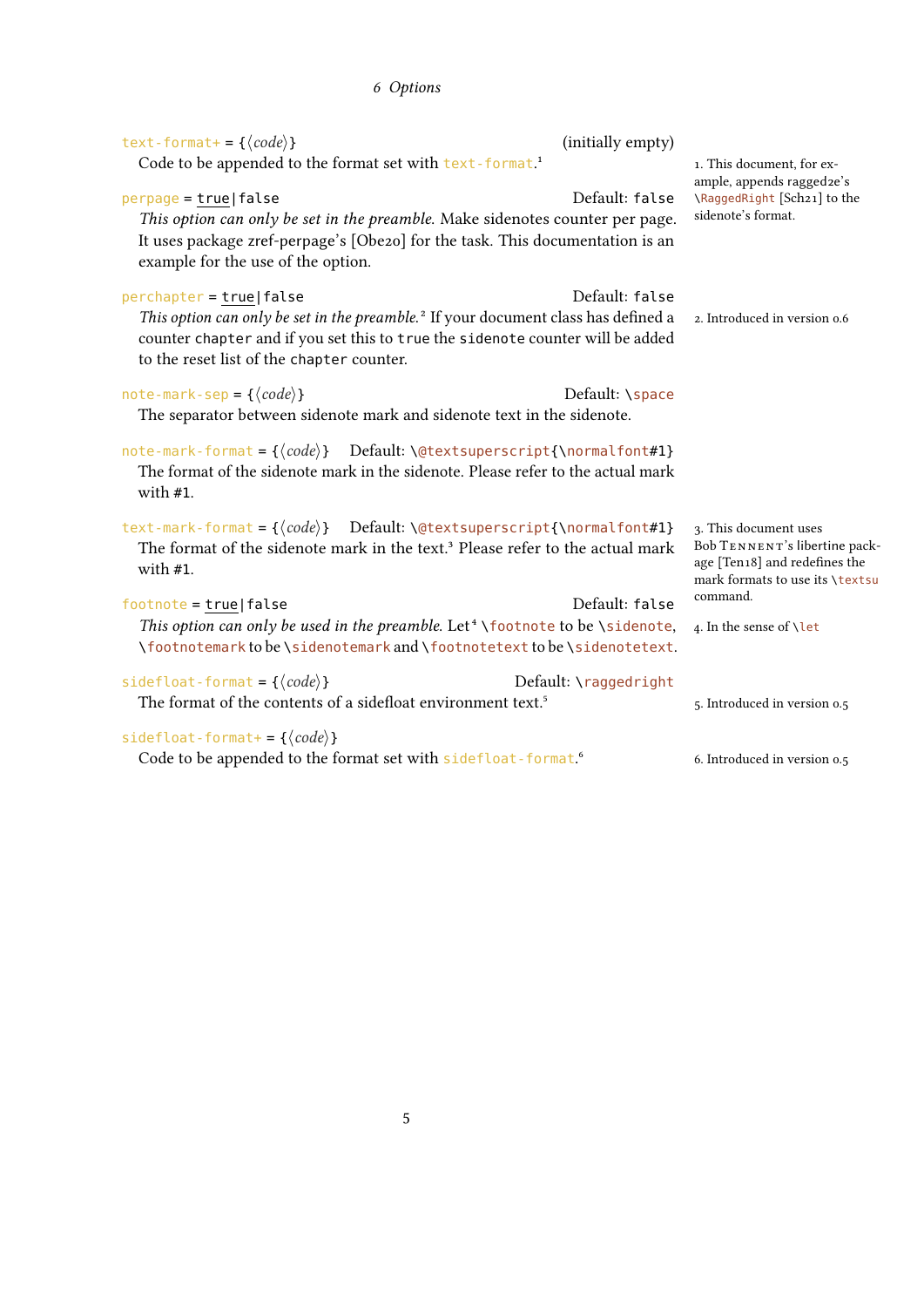<span id="page-4-0"></span>

| text-format+ = { $\langle code \rangle$ }                                                                                                                             | (initially empty)     |                                                                |
|-----------------------------------------------------------------------------------------------------------------------------------------------------------------------|-----------------------|----------------------------------------------------------------|
| Code to be appended to the format set with text-format. <sup>1</sup>                                                                                                  |                       | 1. This document, for ex-<br>ample, appends ragged2e's         |
| $perpage = true   false$                                                                                                                                              | Default: false        | \RaggedRight [Sch21] to the                                    |
| This option can only be set in the preamble. Make sidenotes counter per page.                                                                                         |                       | sidenote's format.                                             |
| It uses package zref-perpage's [Obe2o] for the task. This documentation is an<br>example for the use of the option.                                                   |                       |                                                                |
| $percent$ perchapter = true   false                                                                                                                                   | Default: false        |                                                                |
| This option can only be set in the preamble. <sup>2</sup> If your document class has defined a                                                                        |                       | 2. Introduced in version 0.6                                   |
| counter chapter and if you set this to true the sidenote counter will be added<br>to the reset list of the chapter counter.                                           |                       |                                                                |
|                                                                                                                                                                       |                       |                                                                |
| note-mark-sep = $\{\langle code \rangle\}$                                                                                                                            | Default: \space       |                                                                |
| The separator between sidenote mark and sidenote text in the sidenote.                                                                                                |                       |                                                                |
| note-mark-format = $\{\langle code \rangle\}$ Default: \@textsuperscript{\normalfont#1}                                                                               |                       |                                                                |
| The format of the sidenote mark in the sidenote. Please refer to the actual mark<br>with $#1$ .                                                                       |                       |                                                                |
|                                                                                                                                                                       |                       |                                                                |
| text-mark-format = $\{\langle code \rangle\}$ Default: \@textsuperscript{\normalfont#1}                                                                               |                       | 3. This document uses                                          |
| The format of the sidenote mark in the text. <sup>3</sup> Please refer to the actual mark<br>with #1.                                                                 |                       | Bob TENNENT's libertine pack-<br>age [Ten18] and redefines the |
|                                                                                                                                                                       |                       | mark formats to use its \textsu<br>command.                    |
| $footnote = true   false$                                                                                                                                             | Default: false        |                                                                |
| This option can only be used in the preamble. Let <sup>4</sup> \footnote to be \sidenote,<br>\footnotemark to be \sidenotemark and \footnotetext to be \sidenotetext. |                       | 4. In the sense of \let                                        |
|                                                                                                                                                                       |                       |                                                                |
| sidefloat-format = { $\langle code \rangle$ }<br>The format of the contents of a sidefloat environment text. <sup>5</sup>                                             | Default: \raggedright |                                                                |
|                                                                                                                                                                       |                       | 5. Introduced in version 0.5                                   |
| sidefloat-format+= $\{\langle code \rangle\}$                                                                                                                         |                       |                                                                |
| Code to be appended to the format set with sidefloat - format. <sup>6</sup>                                                                                           |                       | 6. Introduced in version 0.5                                   |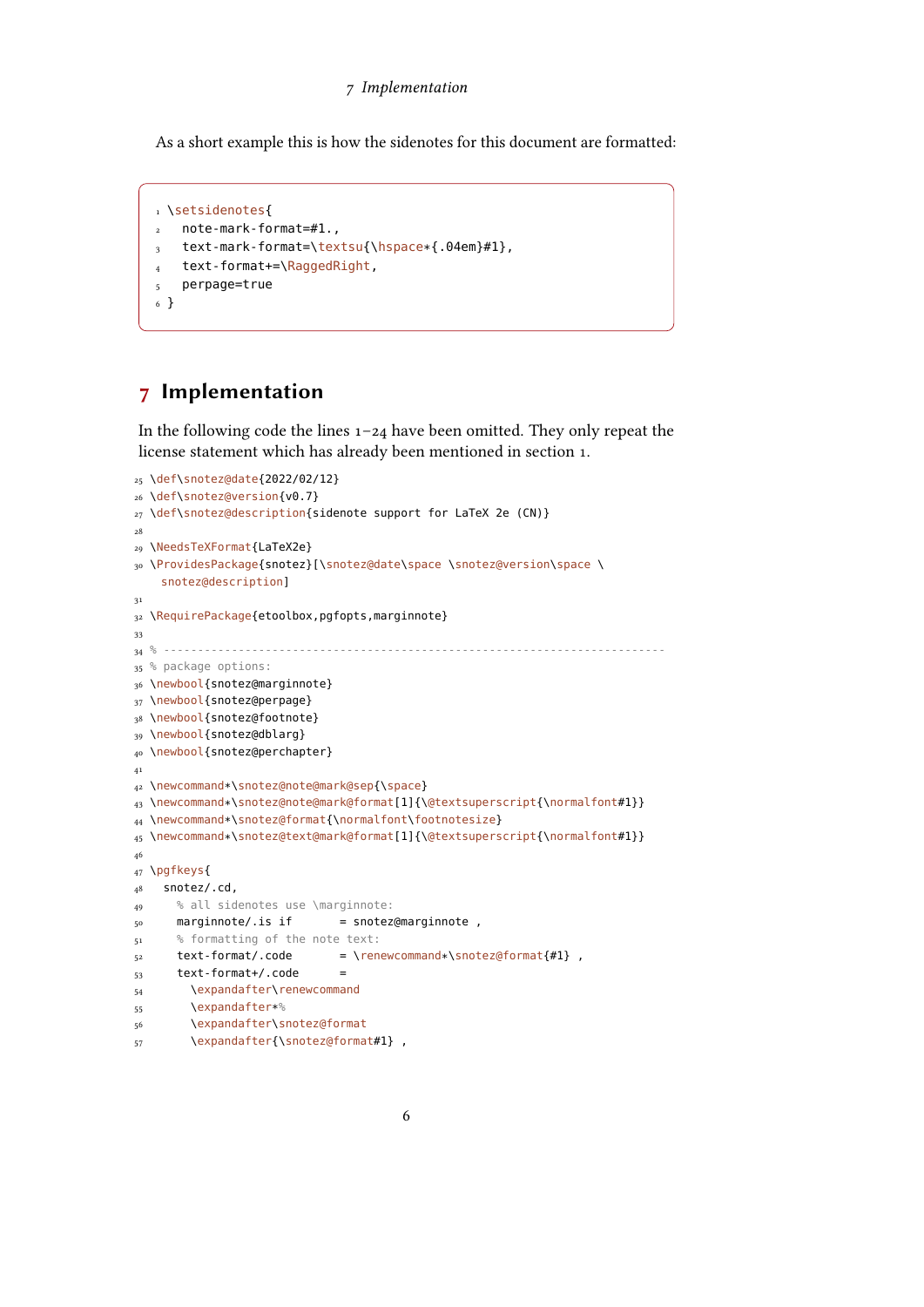<span id="page-5-1"></span>As a short example this is how the sidenotes for this document are formatted:

```
1 \setsidenotes{
2 note-mark-format=#1.,
3 text-mark-format=\textsu{\hspace*{.04em}#1},
4 text-format+=\RaggedRight,
5 perpage=true
6 }
```
### <span id="page-5-0"></span>Implementation

In the following code the lines  $1-24$  have been omitted. They only repeat the license statement which has already been mentioned in section [1.](#page-0-0)

```
25 \def\snotez@date{2022/02/12}
26 \def\snotez@version{v0.7}
27 \def\snotez@description{sidenote support for LaTeX 2e (CN)}
<sub>28</sub>
29 \NeedsTeXFormat{LaTeX2e}
30 \ProvidesPackage{snotez}[\snotez@date\space \snotez@version\space \
    snotez@description]
31
32 \RequirePackage{etoolbox,pgfopts,marginnote}
33
34 % --------------------------------------------------------------------------
35 % package options:
36 \newbool{snotez@marginnote}
37 \newbool{snotez@perpage}
38 \newbool{snotez@footnote}
39 \newbool{snotez@dblarg}
40 \newbool{snotez@perchapter}
41
42 \newcommand*\snotez@note@mark@sep{\space}
43 \newcommand*\snotez@note@mark@format[1]{\@textsuperscript{\normalfont#1}}
44 \newcommand*\snotez@format{\normalfont\footnotesize}
45 \newcommand*\snotez@text@mark@format[1]{\@textsuperscript{\normalfont#1}}
46
47 \pgfkeys{
48 snotez/.cd,
49 % all sidenotes use \marginnote:
50 marginnote/.is if = snotez@marginnote,
51 % formatting of the note text:
52 text-format/.code = \renewcommand*\snotez@format{#1} ,
53 text-format+/.code =
54 \expandafter\renewcommand
55 \expandafter*%
56 \expandafter\snotez@format
57 \expandafter{\snotez@format#1},
```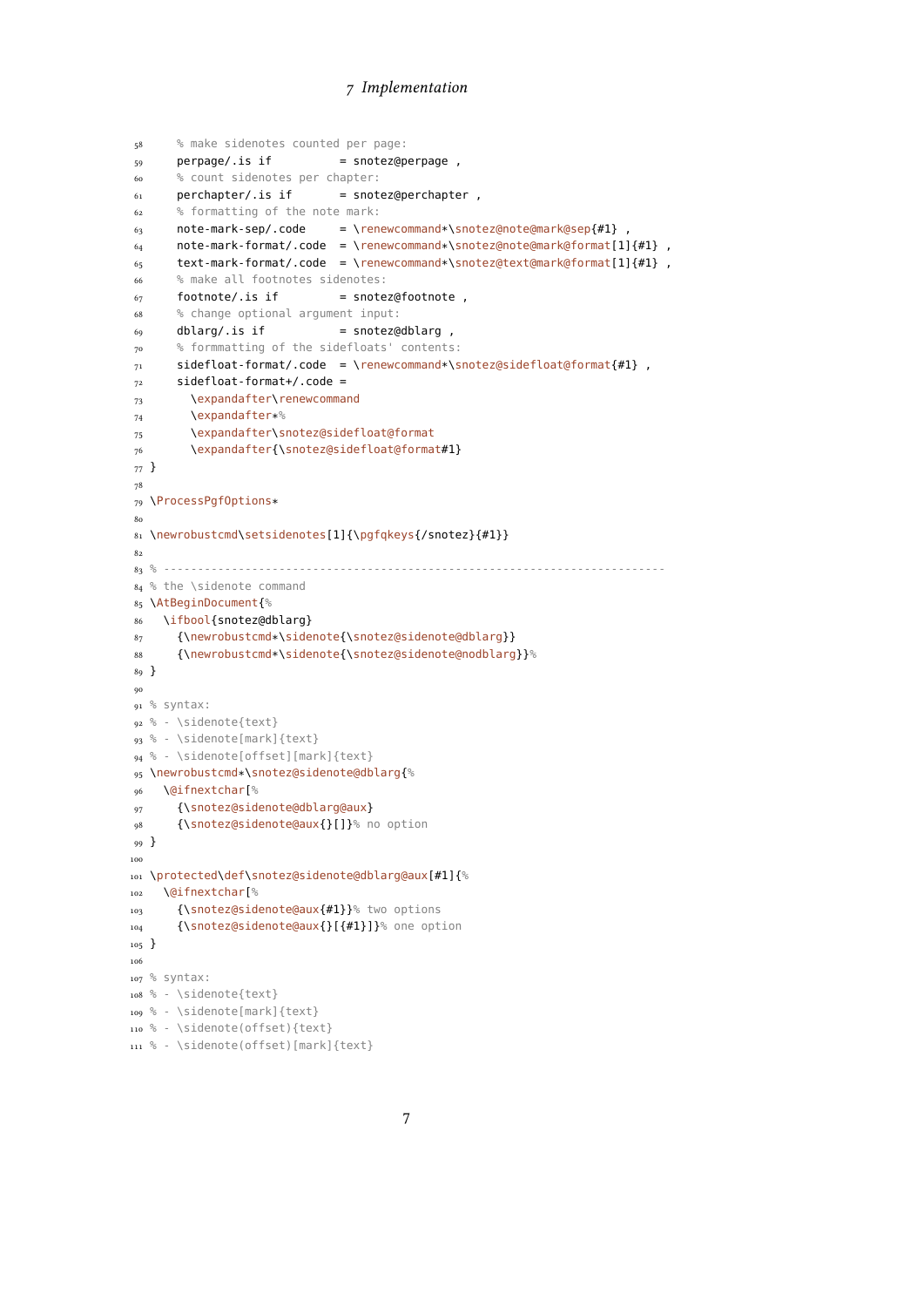```
58 % make sidenotes counted per page:
59 perpage/.is if = snotez@perpage,
60 % count sidenotes per chapter:
61 perchapter/.is if = snotez@perchapter,
62 % formatting of the note mark:
63 note-mark-sep/.code = \renewcommand*\snotez@note@mark@sep{#1},
64 note-mark-format/.code = \renewcommand*\snotez@note@mark@format[1]{#1},
65 text-mark-format/.code = \renewcommand*\snotez@text@mark@format[1]{#1},
66 % make all footnotes sidenotes:
67 footnote/.is if = snotez@footnote,
68 % change optional argument input:
69 dblarg/.is if = snotez@dblarg ,
70 % formmatting of the sidefloats' contents:
71 sidefloat-format/.code = \renewcommand*\snotez@sidefloat@format{#1} ,
72 sidefloat-format+/.code =
73 \expandafter\renewcommand
74 \expandafter*%
75 \expandafter\snotez@sidefloat@format
76 \expandafter{\snotez@sidefloat@format#1}
77 }
78
79 \ProcessPgfOptions*
80
81 \newrobustcmd\setsidenotes[1]{\pgfqkeys{/snotez}{#1}}
82
83 % --------------------------------------------------------------------------
84 % the \sidenote command
85 \AtBeginDocument{%
86 \ifbool{snotez@dblarg}
87 {\newrobustcmd*\sidenote{\snotez@sidenote@dblarg}}<br>88 {\newrobustcmd*\sidenote{\snotez@sidenote@nodblarg
      88 {\newrobustcmd*\sidenote{\snotez@sidenote@nodblarg}}%
89 }
90
91 % syntax:
92 % - \sidenote{text}
93 % - \sidenote[mark]{text}
94 % - \sidenote[offset][mark]{text}
95 \newrobustcmd*\snotez@sidenote@dblarg{%
96 \@ifnextchar[%
97 {\snotez@sidenote@dblarg@aux}
98 {\snotez@sidenote@aux{}[]}% no option
99 }
100
101 \protected\def\snotez@sidenote@dblarg@aux[#1]{%
102 \@ifnextchar[%
103 {\snotez@sidenote@aux{#1}}% two options
104 {\snotez@sidenote@aux{}[{#1}]}% one option
105 }
106
107 % syntax:
108 % - \sidenote{text}
109 % - \sidenote[mark]{text}
110 % - \sidenote(offset){text}
```

```
111 % - \sidenote(offset)[mark]{text}
```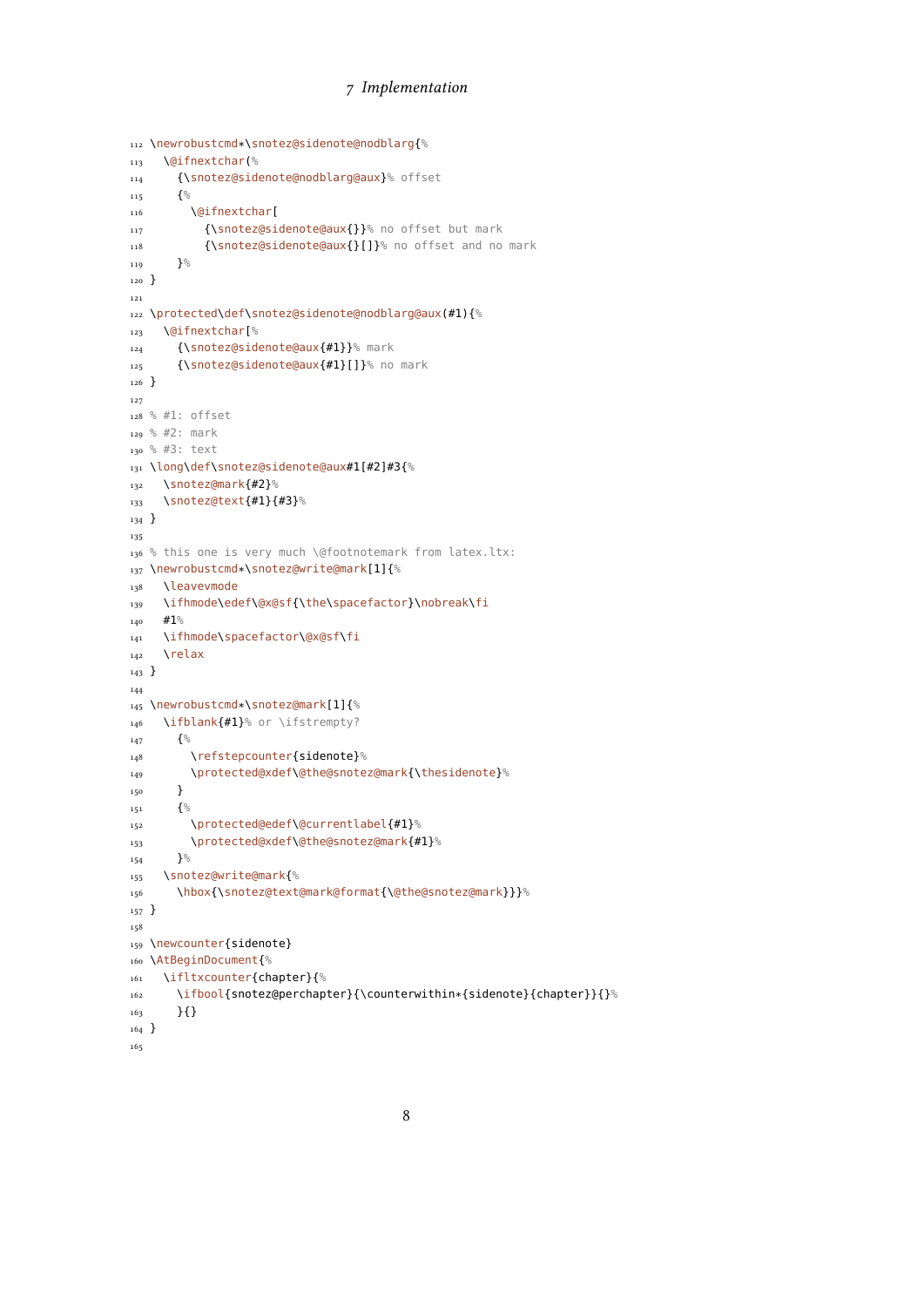```
112 \newrobustcmd*\snotez@sidenote@nodblarg{%
113 \@ifnextchar(%
114 {\snotez@sidenote@nodblarg@aux}% offset
115 \{^{\circ}_{6}116 \@ifnextchar[
117 {\snotez@sidenote@aux{}}% no offset but mark
118 {\snotez@sidenote@aux{}[]}% no offset and no mark
119 {}^{19}120 }
121
122 \protected\def\snotez@sidenote@nodblarg@aux(#1){%
123 \@ifnextchar[%
124 {\snotez@sidenote@aux{#1}}% mark
125 {\snotez@sidenote@aux{#1}[]}% no mark
126 }
127
128 % #1: offset
129 % #2: mark
130 % #3: text
131 \long\def\snotez@sidenote@aux#1[#2]#3{%
132 \snotez@mark{#2}%
133 \snotez@text{#1}{#3}%
134 }
135
136 % this one is very much \@footnotemark from latex.ltx:
137 \newrobustcmd*\snotez@write@mark[1]{%
138 \leavevmode
139 \ifhmode\edef\@x@sf{\the\spacefactor}\nobreak\fi
_{140} #1%
141 \ifhmode\spacefactor\@x@sf\fi
142 \relax
143 }
144
145 \newrobustcmd*\snotez@mark[1]{%
146 \ifblank{#1}% or \ifstrempty?
147 \{^{\circ}_{6}148 \refstepcounter{sidenote}%
149 \protected@xdef\@the@snotez@mark{\thesidenote}%
150 }
151 \left\{\frac{\ }{\ }152 \protected@edef\@currentlabel{#1}%
153 \protected@xdef\@the@snotez@mark{#1}%
154 }%
155 \snotez@write@mark{%
156 \hbox{\snotez@text@mark@format{\@the@snotez@mark}}}%
157 }
158
159 \newcounter{sidenote}
160 \AtBeginDocument{%
161 \ifltxcounter{chapter}{%
162 \ifbool{snotez@perchapter}{\counterwithin*{sidenote}{chapter}}{}%
163 }{}
164 }
165
```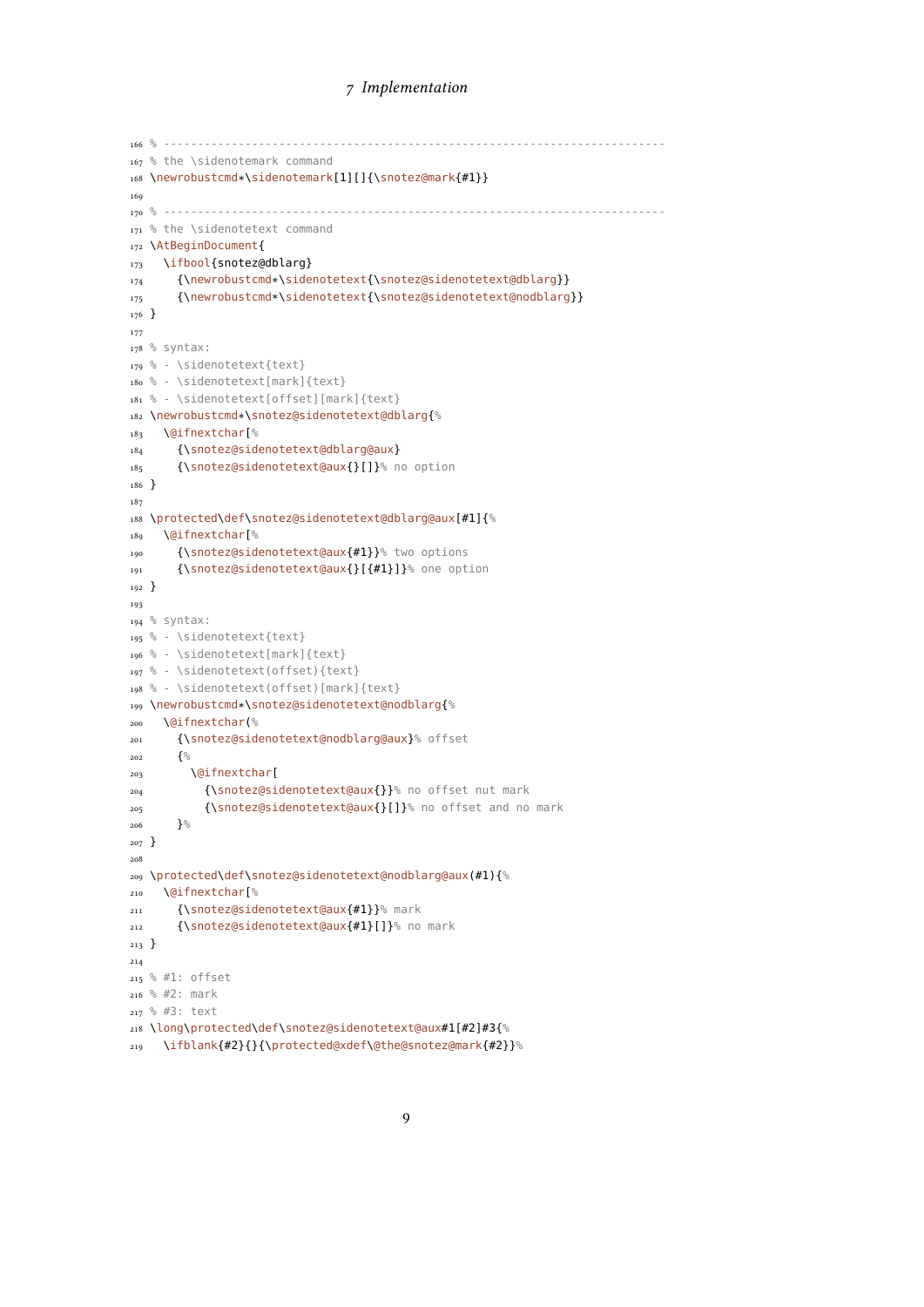```
166 % --------------------------------------------------------------------------
167 % the \sidenotemark command
168 \newrobustcmd*\sidenotemark[1][]{\snotez@mark{#1}}
169
170 % --------------------------------------------------------------------------
171 % the \sidenotetext command
172 \AtBeginDocument{
173 \ifbool{snotez@dblarg}
174 {\newrobustcmd*\sidenotetext{\snotez@sidenotetext@dblarg}}
175 {\newrobustcmd*\sidenotetext{\snotez@sidenotetext@nodblarg}}
176 }
177
178 % syntax:
179 % - \sidenotetext{text}
180 % - \sidenotetext[mark]{text}
181 % - \sidenotetext[offset][mark]{text}
182 \newrobustcmd*\snotez@sidenotetext@dblarg{%
183 \@ifnextchar[%
184 {\snotez@sidenotetext@dblarg@aux}
185 {\snotez@sidenotetext@aux{}[]}% no option
186 }
187
188 \protected\def\snotez@sidenotetext@dblarg@aux[#1]{%
189 \@ifnextchar[%
190 {\snotez@sidenotetext@aux{#1}}% two options
191 {\snotez@sidenotetext@aux{}[{#1}]}% one option
192 }
193
194 % syntax:
195 % - \sidenotetext{text}
196 % - \sidenotetext[mark]{text}
197 % - \sidenotetext(offset){text}
198 % - \sidenotetext(offset)[mark]{text}
199 \newrobustcmd*\snotez@sidenotetext@nodblarg{%
200 \@ifnextchar(%
201 {\snotez@sidenotetext@nodblarg@aux}% offset
202 \left\{\begin{matrix} 0 \\ 0 \end{matrix}\right\}<sub>203</sub> \@ifnextchar[
204 {\snotez@sidenotetext@aux{}}% no offset nut mark
205 {\snotez@sidenotetext@aux{}[]}% no offset and no mark
206 }<sup>%</sup>
207 }
208
209 \protected\def\snotez@sidenotetext@nodblarg@aux(#1){%
210 \@ifnextchar[%
211 {\snotez@sidenotetext@aux{#1}}% mark
212 {\snotez@sidenotetext@aux{#1}[]}% no mark
213 }
214
215 % #1: offset
216 % #2: mark
217 % #3: text
218 \long\protected\def\snotez@sidenotetext@aux#1[#2]#3{%
219 \ifblank{#2}{}{\protected@xdef\@the@snotez@mark{#2}}%
```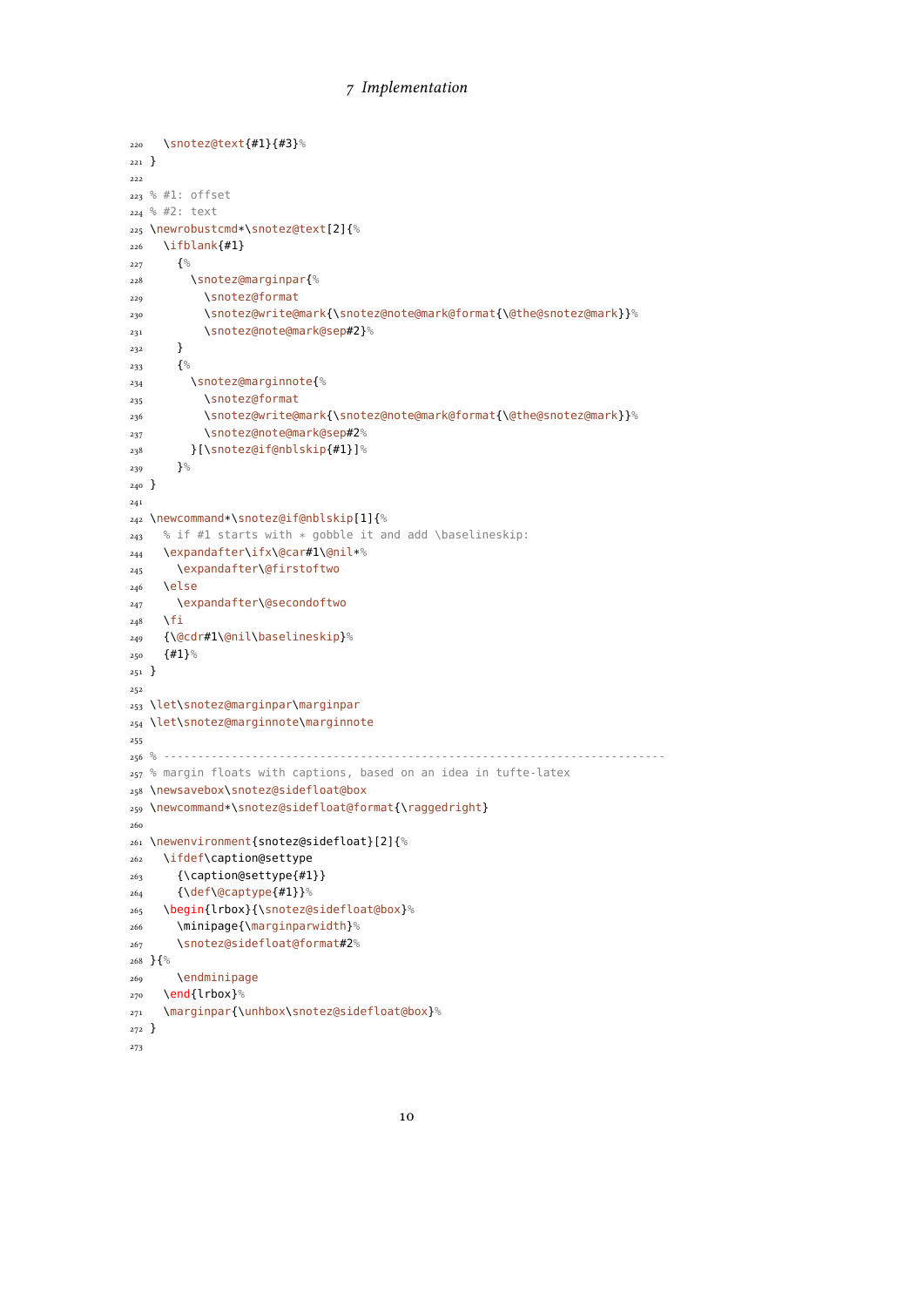```
220 \snotez@text{#1}{#3}%
221 }
222
223 % #1: offset
224 % #2: text
225 \newrobustcmd*\snotez@text[2]{%
226 \ifblank{#1}
227 \{^{\circ\!}228 \snotez@marginpar{%
229 \snotez@format
230 \snotez@write@mark{\snotez@note@mark@format{\@the@snotez@mark}}%
231 \snotez@note@mark@sep#2}%
232 }
233 \{^{\circ}_{\circ}234 \snotez@marginnote{%
235 \snotez@format
236 \snotez@write@mark{\snotez@note@mark@format{\@the@snotez@mark}}%
237 \snotez@note@mark@sep#2%
238 }[\snotez@if@nblskip{#1}]%
239 }\%_{240} }
241
242 \newcommand*\snotez@if@nblskip[1]{%
243 % if #1 starts with * gobble it and add \baselineskip:
244 \expandafter\ifx\@car#1\@nil*%
245 \expandafter\@firstoftwo
246 \else
247 \expandafter\@secondoftwo
248 \fi
249 {\@cdr#1\@nil\baselineskip}%
250 \{ \#1 \}%
251 }
252
253 \let\snotez@marginpar\marginpar
254 \let\snotez@marginnote\marginnote
255
256 % --------------------------------------------------------------------------
257 % margin floats with captions, based on an idea in tufte-latex
258 \newsavebox\snotez@sidefloat@box
259 \newcommand*\snotez@sidefloat@format{\raggedright}
260
261 \newenvironment{snotez@sidefloat}[2]{%
262 \ifdef\caption@settype
263 {\caption@settype{#1}}
264 {\def\@captype{#1}}%
265 \begin{lrbox}{\snotez@sidefloat@box}%
266 \minipage{\marginparwidth}%
267 \snotez@sidefloat@format#2%
268 }{%
269 \endminipage
_{270} \end{lrbox}%
271 \marginpar{\unhbox\snotez@sidefloat@box}%
272 }
273
```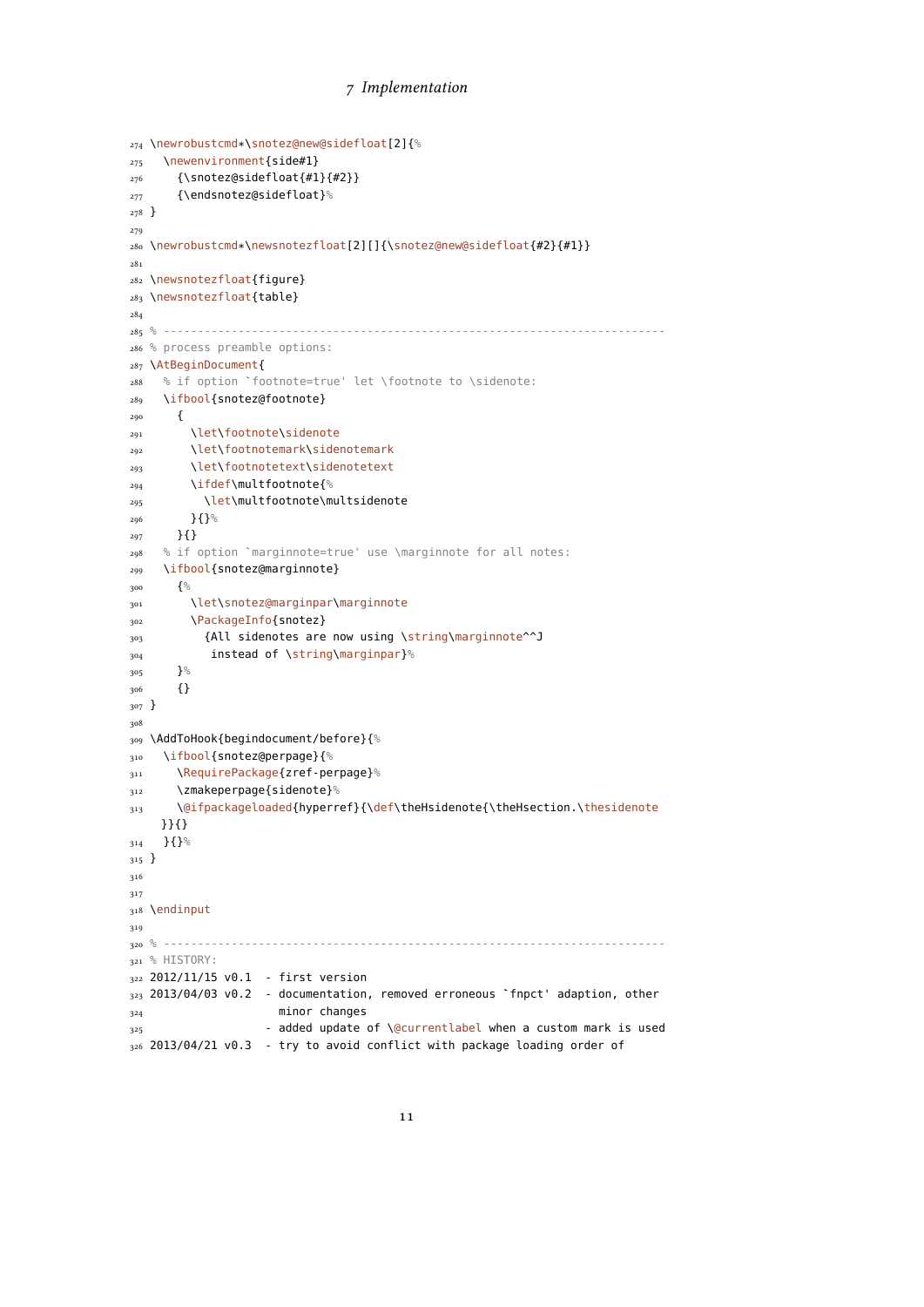```
274 \newrobustcmd*\snotez@new@sidefloat[2]{%
275 \newenvironment{side#1}
276 {\snotez@sidefloat{#1}{#2}}
277 {\endsnotez@sidefloat}%
278 }
279
280 \newrobustcmd*\newsnotezfloat[2][]{\snotez@new@sidefloat{#2}{#1}}
281
282 \newsnotezfloat{figure}
283 \newsnotezfloat{table}
284
285 % --------------------------------------------------------------------------
286 % process preamble options:
287 \AtBeginDocument{
288 % if option `footnote=true' let \footnote to \sidenote:
289 \ifbool{snotez@footnote}
290 {
291 \let\footnote\sidenote
292 \let\footnotemark\sidenotemark
293 \let\footnotetext\sidenotetext
294 \ifdef\multfootnote{%
295 \let\multfootnote\multsidenote
296 }{}<sup>%</sup>
297 }{}
298 % if option `marginnote=true' use \marginnote for all notes:
299 \ifbool{snotez@marginnote}
300 {%
301 \let\snotez@marginpar\marginnote
302 \PackageInfo{snotez}
303 {All sidenotes are now using \string\marginnote^^J
304 instead of \string\marginpar}%
305 }%
306 {}
307 }
308
309 \AddToHook{begindocument/before}{%
310 \ifbool{snotez@perpage}{%
311 \RequirePackage{zref-perpage}%
312 \zmakeperpage{sidenote}%
313 \@ifpackageloaded{hyperref}{\def\theHsidenote{\theHsection.\thesidenote
    }}{}
314 }{}%
315 }
316
317
318 \endinput
319
320 % --------------------------------------------------------------------------
321 % HISTORY:
322 2012/11/15 v0.1 - first version
323 2013/04/03 v0.2 - documentation, removed erroneous `fnpct' adaption, other
324 minor changes
325 - added update of \@currentlabel when a custom mark is used
326 2013/04/21 v0.3 - try to avoid conflict with package loading order of
```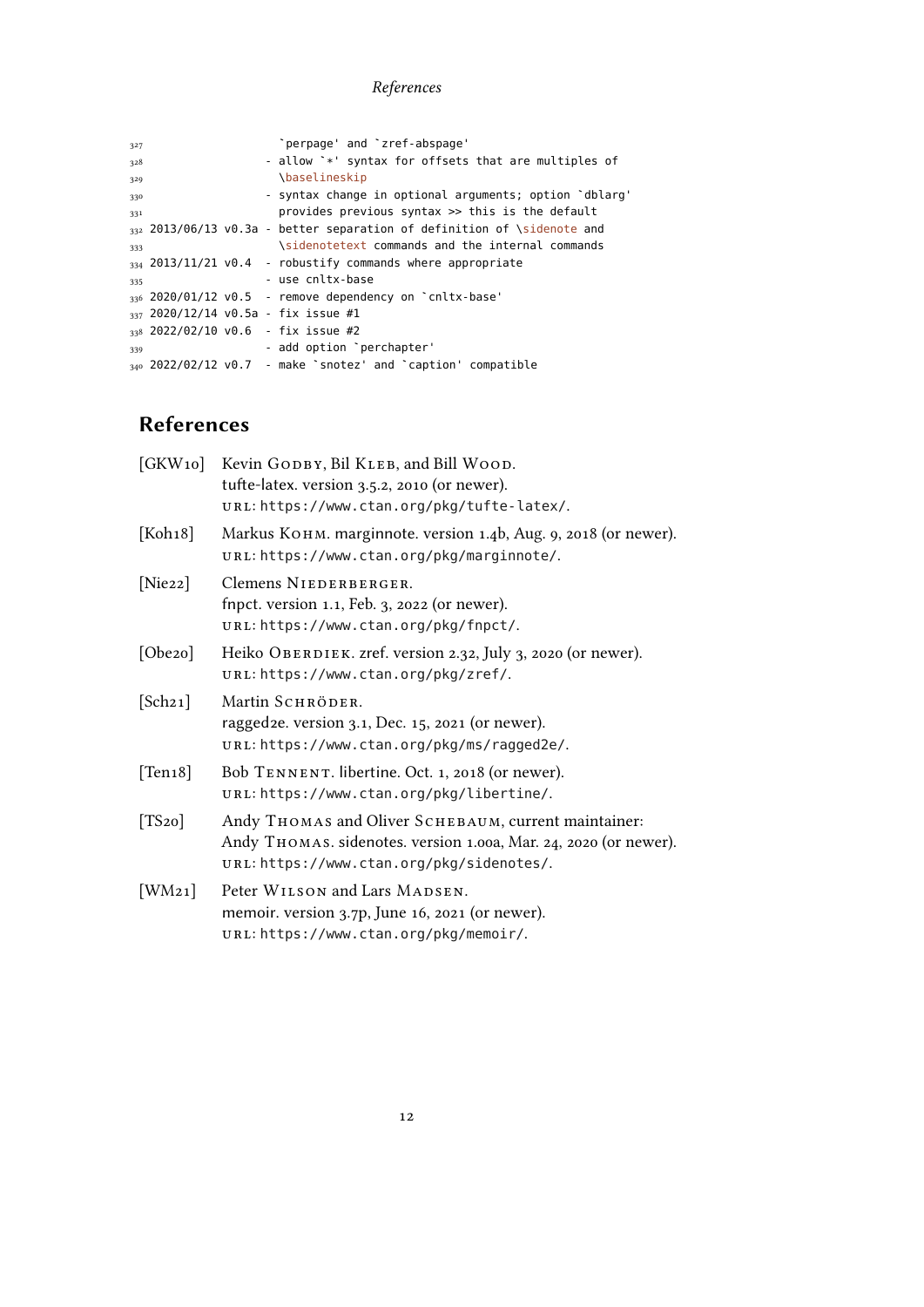# References

| 327 |  | "perpage' and "zref-abspage'                                                 |
|-----|--|------------------------------------------------------------------------------|
| 328 |  | - allow `*' syntax for offsets that are multiples of                         |
| 329 |  | <i><b>\baselineskip</b></i>                                                  |
| 330 |  | - syntax change in optional arguments; option 'dblarg'                       |
| 331 |  | provides previous syntax >> this is the default                              |
|     |  | $_{332}$ 2013/06/13 v0.3a - better separation of definition of \sidenote and |
| 333 |  | \sidenotetext commands and the internal commands                             |
|     |  | $334$ 2013/11/21 v0.4 - robustify commands where appropriate                 |
| 335 |  | - use cnltx-base                                                             |
|     |  | $_{336}$ 2020/01/12 v0.5 - remove dependency on $\degree$ cnltx-base'        |
|     |  | $337$ 2020/12/14 v0.5a - fix issue #1                                        |
|     |  | $338$ 2022/02/10 v0.6 - fix issue #2                                         |
| 339 |  | - add option 'perchapter'                                                    |
|     |  | $_{340}$ 2022/02/12 v0.7 - make 'snotez' and 'caption' compatible            |
|     |  |                                                                              |

# <span id="page-11-0"></span>References

|             | [GKW10] Kevin GODBY, Bil KLEB, and Bill WOOD.<br>tufte-latex. version 3.5.2, 2010 (or newer).<br>URL: https://www.ctan.org/pkg/tufte-latex/.                          |
|-------------|-----------------------------------------------------------------------------------------------------------------------------------------------------------------------|
| [Koh18]     | Markus Конм. marginnote. version 1.4b, Aug. 9, 2018 (or newer).<br>URL: https://www.ctan.org/pkg/marginnote/.                                                         |
| [Nie22]     | Clemens NIEDERBERGER.<br>fnpct. version 1.1, Feb. 3, 2022 (or newer).<br>URL: https://www.ctan.org/pkg/fnpct/.                                                        |
| [Obe20]     | Heiko OBERDIEK. zref. version 2.32, July 3, 2020 (or newer).<br>URL: https://www.ctan.org/pkg/zref/.                                                                  |
| [Sch21]     | Martin SCHRÖDER.<br>ragged2e. version 3.1, Dec. 15, 2021 (or newer).<br>URL: https://www.ctan.org/pkg/ms/ragged2e/.                                                   |
| [Ten 18]    | Bob TENNENT. libertine. Oct. 1, 2018 (or newer).<br>URL: https://www.ctan.org/pkg/libertine/.                                                                         |
| $[TS_{20}]$ | Andy THOMAS and Oliver SCHEBAUM, current maintainer:<br>Andy THOMAS. sidenotes. version 1.00a, Mar. 24, 2020 (or newer).<br>URL: https://www.ctan.org/pkg/sidenotes/. |
| [WM21]      | Peter WILSON and Lars MADSEN.<br>memoir. version 3.7p, June 16, 2021 (or newer).<br>URL: https://www.ctan.org/pkg/memoir/.                                            |